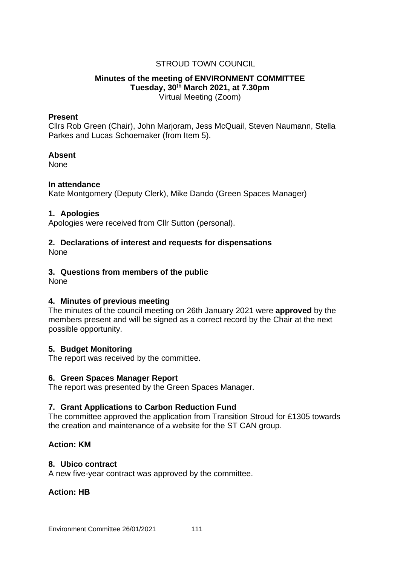# STROUD TOWN COUNCIL

## **Minutes of the meeting of ENVIRONMENT COMMITTEE Tuesday, 30th March 2021, at 7.30pm** Virtual Meeting (Zoom)

#### **Present**

Cllrs Rob Green (Chair), John Marjoram, Jess McQuail, Steven Naumann, Stella Parkes and Lucas Schoemaker (from Item 5).

#### **Absent**

None

## **In attendance**

Kate Montgomery (Deputy Clerk), Mike Dando (Green Spaces Manager)

#### **1. Apologies**

Apologies were received from Cllr Sutton (personal).

# **2. Declarations of interest and requests for dispensations**

None

## **3. Questions from members of the public**

None

## **4. Minutes of previous meeting**

The minutes of the council meeting on 26th January 2021 were **approved** by the members present and will be signed as a correct record by the Chair at the next possible opportunity.

## **5. Budget Monitoring**

The report was received by the committee.

#### **6. Green Spaces Manager Report**

The report was presented by the Green Spaces Manager.

## **7. Grant Applications to Carbon Reduction Fund**

The committee approved the application from Transition Stroud for £1305 towards the creation and maintenance of a website for the ST CAN group.

## **Action: KM**

#### **8. Ubico contract**

A new five-year contract was approved by the committee.

## **Action: HB**